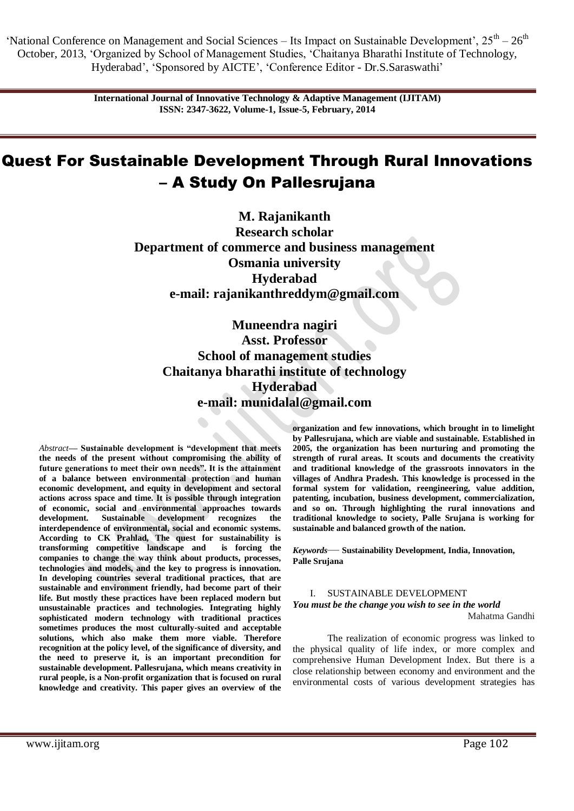> **International Journal of Innovative Technology & Adaptive Management (IJITAM) ISSN: 2347-3622, Volume-1, Issue-5, February, 2014**

# Quest For Sustainable Development Through Rural Innovations – A Study On Pallesrujana

**M. Rajanikanth Research scholar Department of commerce and business management Osmania university Hyderabad e-mail: rajanikanthreddym@gmail.com**

**Muneendra nagiri Asst. Professor School of management studies Chaitanya bharathi institute of technology Hyderabad e-mail: munidalal@gmail.com**

*Abstract***— Sustainable development is "development that meets the needs of the present without compromising the ability of future generations to meet their own needs". It is the attainment of a balance between environmental protection and human economic development, and equity in development and sectoral actions across space and time. It is possible through integration of economic, social and environmental approaches towards development. Sustainable development recognizes the interdependence of environmental, social and economic systems. According to CK Prahlad, The quest for sustainability is transforming competitive landscape and is forcing the companies to change the way think about products, processes, technologies and models, and the key to progress is innovation. In developing countries several traditional practices, that are sustainable and environment friendly, had become part of their life. But mostly these practices have been replaced modern but unsustainable practices and technologies. Integrating highly sophisticated modern technology with traditional practices sometimes produces the most culturally-suited and acceptable solutions, which also make them more viable. Therefore recognition at the policy level, of the significance of diversity, and the need to preserve it, is an important precondition for sustainable development. Pallesrujana, which means creativity in rural people, is a Non-profit organization that is focused on rural knowledge and creativity. This paper gives an overview of the** 

**organization and few innovations, which brought in to limelight by Pallesrujana, which are viable and sustainable. Established in 2005, the organization has been nurturing and promoting the strength of rural areas. It scouts and documents the creativity and traditional knowledge of the grassroots innovators in the villages of Andhra Pradesh. This knowledge is processed in the formal system for validation, reengineering, value addition, patenting, incubation, business development, commercialization, and so on. Through highlighting the rural innovations and traditional knowledge to society, Palle Srujana is working for sustainable and balanced growth of the nation.** 

*Keywords*— **Sustainability Development, India, Innovation, Palle Srujana**

#### I. SUSTAINABLE DEVELOPMENT

### *You must be the change you wish to see in the world* Mahatma Gandhi

The realization of economic progress was linked to the physical quality of life index, or more complex and comprehensive Human Development Index. But there is a close relationship between economy and environment and the environmental costs of various development strategies has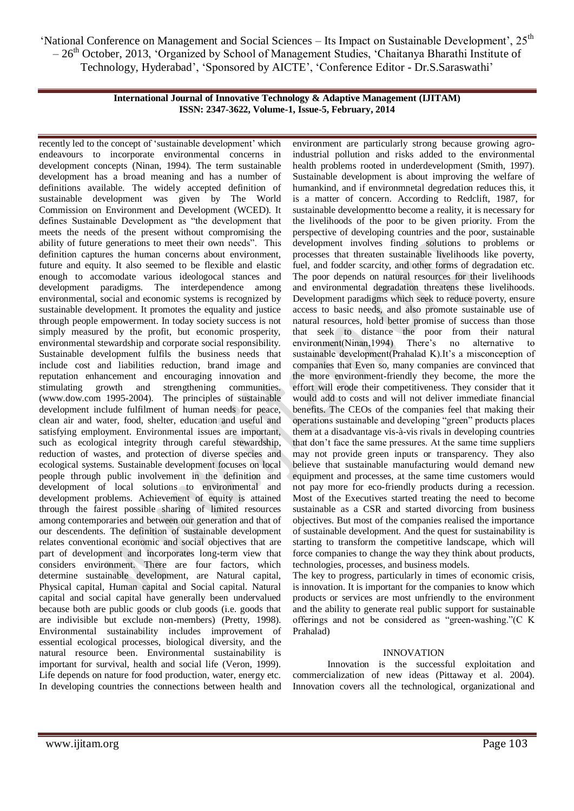> **International Journal of Innovative Technology & Adaptive Management (IJITAM) ISSN: 2347-3622, Volume-1, Issue-5, February, 2014**

recently led to the concept of 'sustainable development' which endeavours to incorporate environmental concerns in development concepts (Ninan, 1994). The term sustainable development has a broad meaning and has a number of definitions available. The widely accepted definition of sustainable development was given by The World Commission on Environment and Development (WCED). It defines Sustainable Development as "the development that meets the needs of the present without compromising the ability of future generations to meet their own needs". This definition captures the human concerns about environment, future and equity. It also seemed to be flexible and elastic enough to accomodate various ideologocal stances and development paradigms. The interdependence among environmental, social and economic systems is recognized by sustainable development. It promotes the equality and justice through people empowerment. In today society success is not simply measured by the profit, but economic prosperity, environmental stewardship and corporate social responsibility. Sustainable development fulfils the business needs that include cost and liabilities reduction, brand image and reputation enhancement and encouraging innovation and stimulating growth and strengthening communities. (www.dow.com 1995-2004). The principles of sustainable development include fulfilment of human needs for peace, clean air and water, food, shelter, education and useful and satisfying employment. Environmental issues are important, such as ecological integrity through careful stewardship, reduction of wastes, and protection of diverse species and ecological systems. Sustainable development focuses on local people through public involvement in the definition and development of local solutions to environmental and development problems. Achievement of equity is attained through the fairest possible sharing of limited resources among contemporaries and between our generation and that of our descendents. The definition of sustainable development relates conventional economic and social objectives that are part of development and incorporates long-term view that considers environment. There are four factors, which determine sustainable development, are Natural capital, Physical capital, Human capital and Social capital. Natural capital and social capital have generally been undervalued because both are public goods or club goods (i.e. goods that are indivisible but exclude non-members) (Pretty, 1998). Environmental sustainability includes improvement of essential ecological processes, biological diversity, and the natural resource been. Environmental sustainability is important for survival, health and social life (Veron, 1999). Life depends on nature for food production, water, energy etc. In developing countries the connections between health and

environment are particularly strong because growing agroindustrial pollution and risks added to the environmental health problems rooted in underdevelopment (Smith, 1997). Sustainable development is about improving the welfare of humankind, and if environmnetal degredation reduces this, it is a matter of concern. According to Redclift, 1987, for sustainable developmentto become a reality, it is necessary for the livelihoods of the poor to be given priority. From the perspective of developing countries and the poor, sustainable development involves finding solutions to problems or processes that threaten sustainable livelihoods like poverty, fuel, and fodder scarcity, and other forms of degradation etc. The poor depends on natural resources for their livelihoods and environmental degradation threatens these livelihoods. Development paradigms which seek to reduce poverty, ensure access to basic needs, and also promote sustainable use of natural resources, hold better promise of success than those that seek to distance the poor from their natural environment(Ninan,1994) There's no alternative to sustainable development(Prahalad K).It's a misconception of companies that Even so, many companies are convinced that the more environment-friendly they become, the more the effort will erode their competitiveness. They consider that it would add to costs and will not deliver immediate financial benefits. The CEOs of the companies feel that making their operations sustainable and developing "green" products places them at a disadvantage vis-à-vis rivals in developing countries that don't face the same pressures. At the same time suppliers may not provide green inputs or transparency. They also believe that sustainable manufacturing would demand new equipment and processes, at the same time customers would not pay more for eco-friendly products during a recession. Most of the Executives started treating the need to become sustainable as a CSR and started divorcing from business objectives. But most of the companies realised the importance of sustainable development. And the quest for sustainability is starting to transform the competitive landscape, which will force companies to change the way they think about products, technologies, processes, and business models.

The key to progress, particularly in times of economic crisis, is innovation. It is important for the companies to know which products or services are most unfriendly to the environment and the ability to generate real public support for sustainable offerings and not be considered as "green-washing." $(C K)$ Prahalad)

## INNOVATION

Innovation is the successful exploitation and commercialization of new ideas (Pittaway et al. 2004). Innovation covers all the technological, organizational and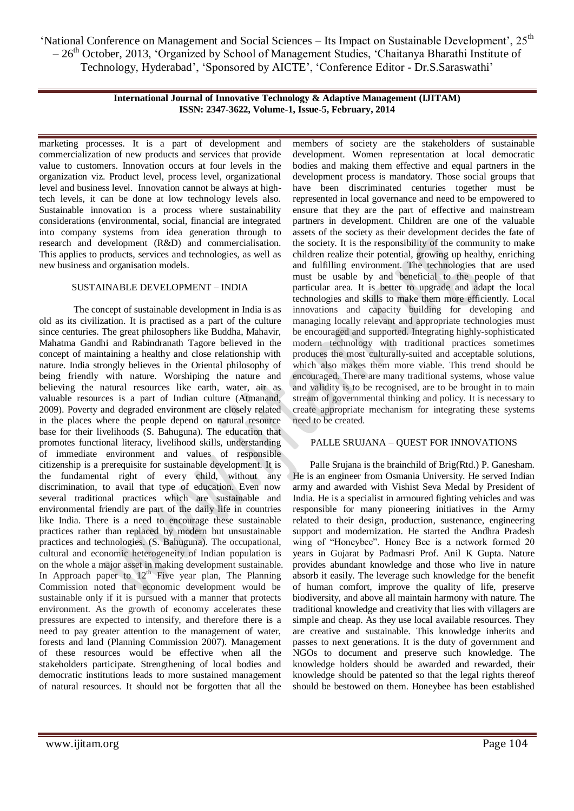> **International Journal of Innovative Technology & Adaptive Management (IJITAM) ISSN: 2347-3622, Volume-1, Issue-5, February, 2014**

marketing processes. It is a part of development and commercialization of new products and services that provide value to customers. Innovation occurs at four levels in the organization viz. Product level, process level, organizational level and business level. Innovation cannot be always at hightech levels, it can be done at low technology levels also. Sustainable innovation is a process where sustainability considerations (environmental, social, financial are integrated into company systems from idea generation through to research and development (R&D) and commercialisation. This applies to products, services and technologies, as well as new business and organisation models.

## SUSTAINABLE DEVELOPMENT – INDIA

The concept of sustainable development in India is as old as its civilization. It is practised as a part of the culture since centuries. The great philosophers like Buddha, Mahavir, Mahatma Gandhi and Rabindranath Tagore believed in the concept of maintaining a healthy and close relationship with nature. India strongly believes in the Oriental philosophy of being friendly with nature. Worshiping the nature and believing the natural resources like earth, water, air as valuable resources is a part of Indian culture (Atmanand, 2009). Poverty and degraded environment are closely related in the places where the people depend on natural resource base for their livelihoods (S. Bahuguna). The education that promotes functional literacy, livelihood skills, understanding of immediate environment and values of responsible citizenship is a prerequisite for sustainable development. It is the fundamental right of every child, without any discrimination, to avail that type of education. Even now several traditional practices which are sustainable and environmental friendly are part of the daily life in countries like India. There is a need to encourage these sustainable practices rather than replaced by modern but unsustainable practices and technologies. (S. Bahuguna). The occupational, cultural and economic heterogeneity of Indian population is on the whole a major asset in making development sustainable. In Approach paper to  $12<sup>th</sup>$  Five year plan, The Planning Commission noted that economic development would be sustainable only if it is pursued with a manner that protects environment. As the growth of economy accelerates these pressures are expected to intensify, and therefore there is a need to pay greater attention to the management of water, forests and land (Planning Commission 2007). Management of these resources would be effective when all the stakeholders participate. Strengthening of local bodies and democratic institutions leads to more sustained management of natural resources. It should not be forgotten that all the

members of society are the stakeholders of sustainable development. Women representation at local democratic bodies and making them effective and equal partners in the development process is mandatory. Those social groups that have been discriminated centuries together must be represented in local governance and need to be empowered to ensure that they are the part of effective and mainstream partners in development. Children are one of the valuable assets of the society as their development decides the fate of the society. It is the responsibility of the community to make children realize their potential, growing up healthy, enriching and fulfilling environment. The technologies that are used must be usable by and beneficial to the people of that particular area. It is better to upgrade and adapt the local technologies and skills to make them more efficiently. Local innovations and capacity building for developing and managing locally relevant and appropriate technologies must be encouraged and supported. Integrating highly-sophisticated modern technology with traditional practices sometimes produces the most culturally-suited and acceptable solutions, which also makes them more viable. This trend should be encouraged. There are many traditional systems, whose value and validity is to be recognised, are to be brought in to main stream of governmental thinking and policy. It is necessary to create appropriate mechanism for integrating these systems need to be created.

## PALLE SRUJANA – QUEST FOR INNOVATIONS

Palle Srujana is the brainchild of Brig(Rtd.) P. Ganesham. He is an engineer from Osmania University. He served Indian army and awarded with Vishist Seva Medal by President of India. He is a specialist in armoured fighting vehicles and was responsible for many pioneering initiatives in the Army related to their design, production, sustenance, engineering support and modernization. He started the Andhra Pradesh wing of "Honeybee". Honey Bee is a network formed 20 years in Gujarat by Padmasri Prof. Anil K Gupta. Nature provides abundant knowledge and those who live in nature absorb it easily. The leverage such knowledge for the benefit of human comfort, improve the quality of life, preserve biodiversity, and above all maintain harmony with nature. The traditional knowledge and creativity that lies with villagers are simple and cheap. As they use local available resources. They are creative and sustainable. This knowledge inherits and passes to next generations. It is the duty of government and NGOs to document and preserve such knowledge. The knowledge holders should be awarded and rewarded, their knowledge should be patented so that the legal rights thereof should be bestowed on them. Honeybee has been established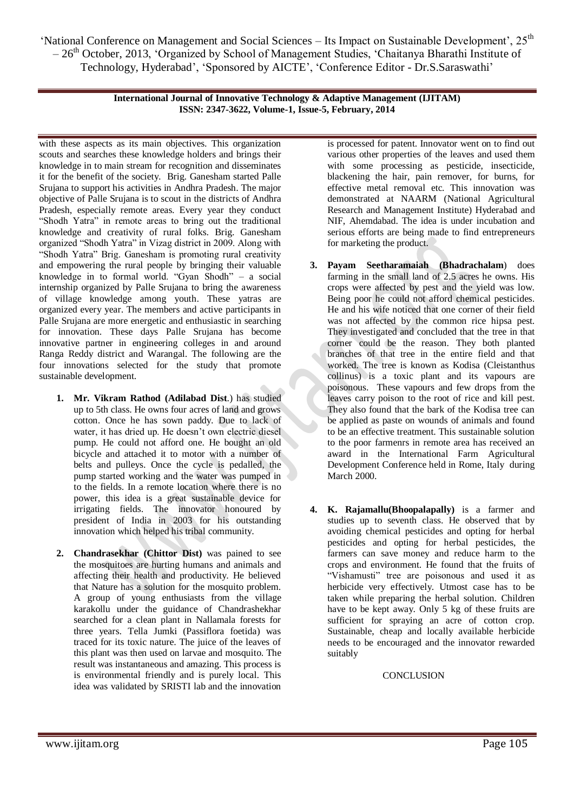> **International Journal of Innovative Technology & Adaptive Management (IJITAM) ISSN: 2347-3622, Volume-1, Issue-5, February, 2014**

with these aspects as its main objectives. This organization scouts and searches these knowledge holders and brings their knowledge in to main stream for recognition and disseminates it for the benefit of the society. Brig. Ganesham started Palle Srujana to support his activities in Andhra Pradesh. The major objective of Palle Srujana is to scout in the districts of Andhra Pradesh, especially remote areas. Every year they conduct "Shodh Yatra" in remote areas to bring out the traditional knowledge and creativity of rural folks. Brig. Ganesham organized "Shodh Yatra" in Vizag district in 2009. Along with "Shodh Yatra" Brig. Ganesham is promoting rural creativity and empowering the rural people by bringing their valuable knowledge in to formal world. "Gyan Shodh" – a social internship organized by Palle Srujana to bring the awareness of village knowledge among youth. These yatras are organized every year. The members and active participants in Palle Srujana are more energetic and enthusiastic in searching for innovation. These days Palle Srujana has become innovative partner in engineering colleges in and around Ranga Reddy district and Warangal. The following are the four innovations selected for the study that promote sustainable development.

- **1. Mr. Vikram Rathod (Adilabad Dist**.) has studied up to 5th class. He owns four acres of land and grows cotton. Once he has sown paddy. Due to lack of water, it has dried up. He doesn't own electric diesel pump. He could not afford one. He bought an old bicycle and attached it to motor with a number of belts and pulleys. Once the cycle is pedalled, the pump started working and the water was pumped in to the fields. In a remote location where there is no power, this idea is a great sustainable device for irrigating fields. The innovator honoured by president of India in 2003 for his outstanding innovation which helped his tribal community.
- **2. Chandrasekhar (Chittor Dist)** was pained to see the mosquitoes are hurting humans and animals and affecting their health and productivity. He believed that Nature has a solution for the mosquito problem. A group of young enthusiasts from the village karakollu under the guidance of Chandrashekhar searched for a clean plant in Nallamala forests for three years. Tella Jumki (Passiflora foetida) was traced for its toxic nature. The juice of the leaves of this plant was then used on larvae and mosquito. The result was instantaneous and amazing. This process is is environmental friendly and is purely local. This idea was validated by SRISTI lab and the innovation

is processed for patent. Innovator went on to find out various other properties of the leaves and used them with some processing as pesticide, insecticide, blackening the hair, pain remover, for burns, for effective metal removal etc. This innovation was demonstrated at NAARM (National Agricultural Research and Management Institute) Hyderabad and NIF, Ahemdabad. The idea is under incubation and serious efforts are being made to find entrepreneurs for marketing the product.

- **3. Payam Seetharamaiah (Bhadrachalam**) does farming in the small land of 2.5 acres he owns. His crops were affected by pest and the yield was low. Being poor he could not afford chemical pesticides. He and his wife noticed that one corner of their field was not affected by the common rice hipsa pest. They investigated and concluded that the tree in that corner could be the reason. They both planted branches of that tree in the entire field and that worked. The tree is known as Kodisa (Cleistanthus collinus) is a toxic plant and its vapours are poisonous. These vapours and few drops from the leaves carry poison to the root of rice and kill pest. They also found that the bark of the Kodisa tree can be applied as paste on wounds of animals and found to be an effective treatment. This sustainable solution to the poor farmenrs in remote area has received an award in the International Farm Agricultural Development Conference held in Rome, Italy during March 2000.
- **4. K. Rajamallu(Bhoopalapally)** is a farmer and studies up to seventh class. He observed that by avoiding chemical pesticides and opting for herbal pesticides and opting for herbal pesticides, the farmers can save money and reduce harm to the crops and environment. He found that the fruits of "Vishamusti" tree are poisonous and used it as herbicide very effectively. Utmost case has to be taken while preparing the herbal solution. Children have to be kept away. Only 5 kg of these fruits are sufficient for spraying an acre of cotton crop. Sustainable, cheap and locally available herbicide needs to be encouraged and the innovator rewarded suitably

# **CONCLUSION**